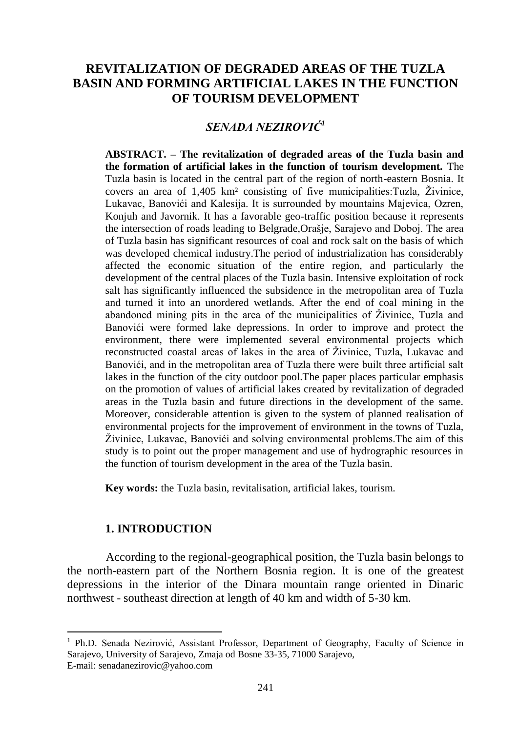# **REVITALIZATION OF DEGRADED AREAS OF THE TUZLA BASIN AND FORMING ARTIFICIAL LAKES IN THE FUNCTION OF TOURISM DEVELOPMENT**

## *SENADA NEZIROVIĆ<sup>1</sup>*

**ABSTRACT. – The revitalization of degraded areas of the Tuzla basin and the formation of artificial lakes in the function of tourism development.** The Tuzla basin is located in the central part of the region of north-eastern Bosnia. It covers an area of  $1,405 \text{ km}^2$  consisting of five municipalities: Tuzla, Živinice, Lukavac, Banovići and Kalesija. It is surrounded by mountains Majevica, Ozren, Konjuh and Javornik. It has a favorable geo-traffic position because it represents the intersection of roads leading to Belgrade,Orašje, Sarajevo and Doboj. The area of Tuzla basin has significant resources of coal and rock salt on the basis of which was developed chemical industry.The period of industrialization has considerably affected the economic situation of the entire region, and particularly the development of the central places of the Tuzla basin. Intensive exploitation of rock salt has significantly influenced the subsidence in the metropolitan area of Tuzla and turned it into an unordered wetlands. After the end of coal mining in the abandoned mining pits in the area of the municipalities of Živinice, Tuzla and Banovići were formed lake depressions. In order to improve and protect the environment, there were implemented several environmental projects which reconstructed coastal areas of lakes in the area of Živinice. Tuzla, Lukavac and Banovići, and in the metropolitan area of Tuzla there were built three artificial salt lakes in the function of the city outdoor pool.The paper places particular emphasis on the promotion of values of artificial lakes created by revitalization of degraded areas in the Tuzla basin and future directions in the development of the same. Moreover, considerable attention is given to the system of planned realisation of environmental projects for the improvement of environment in the towns of Tuzla, Živinice, Lukavac, Banovići and solving environmental problems. The aim of this study is to point out the proper management and use of hydrographic resources in the function of tourism development in the area of the Tuzla basin.

**Key words:** the Tuzla basin, revitalisation, artificial lakes, tourism.

#### **1. INTRODUCTION**

 $\overline{a}$ 

According to the regional-geographical position, the Tuzla basin belongs to the north-eastern part of the Northern Bosnia region. It is one of the greatest depressions in the interior of the Dinara mountain range oriented in Dinaric northwest - southeast direction at length of 40 km and width of 5-30 km.

<sup>&</sup>lt;sup>1</sup> Ph.D. Senada Nezirović, Assistant Professor, Department of Geography, Faculty of Science in Sarajevo, University of Sarajevo, Zmaja od Bosne 33-35, 71000 Sarajevo, E-mail: senadanezirovic@yahoo.com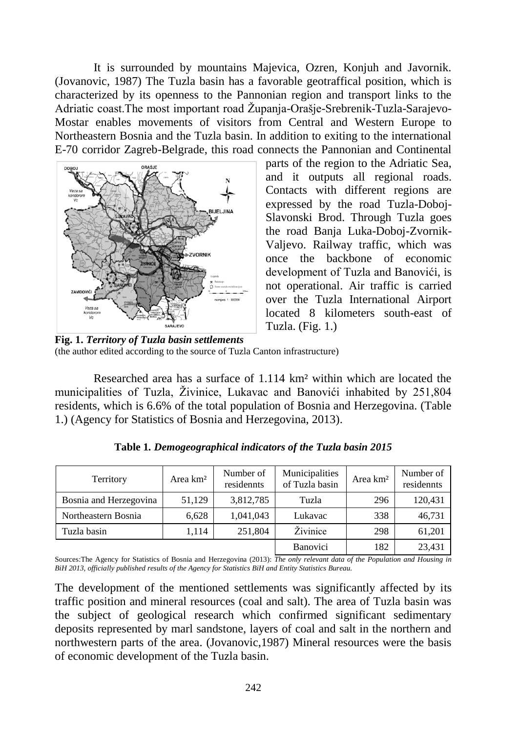It is surrounded by mountains Majevica, Ozren, Konjuh and Javornik. (Jovanovic, 1987) The Tuzla basin has a favorable geotraffical position, which is characterized by its openness to the Pannonian region and transport links to the Adriatic coast. The most important road Županja-Orašje-Srebrenik-Tuzla-Sarajevo-Mostar enables movements of visitors from Central and Western Europe to Northeastern Bosnia and the Tuzla basin. In addition to exiting to the international E-70 corridor Zagreb-Belgrade, this road connects the Pannonian and Continental



parts of the region to the Adriatic Sea, and it outputs all regional roads. Contacts with different regions are expressed by the road Tuzla-Doboj-Slavonski Brod. Through Tuzla goes the road Banja Luka-Doboj-Zvornik-Valjevo. Railway traffic, which was once the backbone of economic development of Tuzla and Banovići, is not operational. Air traffic is carried over the Tuzla International Airport located 8 kilometers south-east of Tuzla. (Fig. 1.)

**Fig. 1.** *Territory of Tuzla basin settlements*  (the author edited according to the source of Tuzla Canton infrastructure)

Researched area has a surface of 1.114 km² within which are located the municipalities of Tuzla, Živinice, Lukavac and Banovići inhabited by 251,804 residents, which is 6.6% of the total population of Bosnia and Herzegovina. (Table 1.) (Agency for Statistics of Bosnia and Herzegovina, 2013).

| Territory              | Area km <sup>2</sup> | Number of<br>residennts | Municipalities<br>of Tuzla basin | Area km <sup>2</sup> | Number of<br>residennts |
|------------------------|----------------------|-------------------------|----------------------------------|----------------------|-------------------------|
| Bosnia and Herzegovina | 51,129               | 3,812,785               | Tuzla                            | 296                  | 120,431                 |
| Northeastern Bosnia    | 6.628                | 1,041,043               | Lukavac                          | 338                  | 46,731                  |
| Tuzla basin            | 1,114                | 251,804                 | Živinice                         | 298                  | 61,201                  |
|                        |                      |                         | <b>Banovici</b>                  | 182                  | 23,431                  |

**Table 1***. Demogeographical indicators of the Tuzla basin 2015*

Sources:The Agency for Statistics of Bosnia and Herzegovina (2013): *The only relevant data of the Population and Housing in BiH 2013, officially published results of the Agency for Statistics BiH and Entity Statistics Bureau.*

The development of the mentioned settlements was significantly affected by its traffic position and mineral resources (coal and salt). The area of Tuzla basin was the subject of geological research which confirmed significant sedimentary deposits represented by marl sandstone, layers of coal and salt in the northern and northwestern parts of the area. (Jovanovic,1987) Mineral resources were the basis of economic development of the Tuzla basin.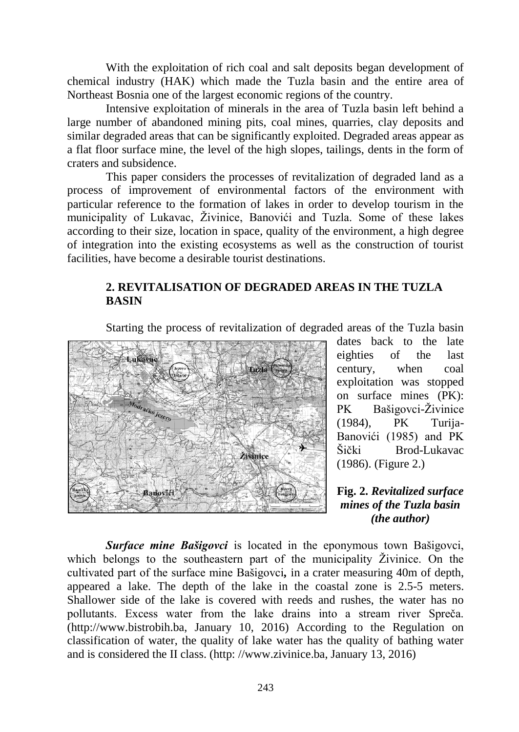With the exploitation of rich coal and salt deposits began development of chemical industry (HAK) which made the Tuzla basin and the entire area of Northeast Bosnia one of the largest economic regions of the country.

Intensive exploitation of minerals in the area of Tuzla basin left behind a large number of abandoned mining pits, coal mines, quarries, clay deposits and similar degraded areas that can be significantly exploited. Degraded areas appear as a flat floor surface mine, the level of the high slopes, tailings, dents in the form of craters and subsidence.

This paper considers the processes of revitalization of degraded land as a process of improvement of environmental factors of the environment with particular reference to the formation of lakes in order to develop tourism in the municipality of Lukavac, Živinice, Banovići and Tuzla. Some of these lakes according to their size, location in space, quality of the environment, a high degree of integration into the existing ecosystems as well as the construction of tourist facilities, have become a desirable tourist destinations.

### **2. REVITALISATION OF DEGRADED AREAS IN THE TUZLA BASIN**

Starting the process of revitalization of degraded areas of the Tuzla basin



dates back to the late eighties of the last century, when coal exploitation was stopped on surface mines (PK): PK Bašigovci-Živinice (1984), PK Turija-Banovići (1985) and PK Šički Brod-Lukavac (1986). (Figure 2.)

### **Fig. 2.** *Revitalized surface mines of the Tuzla basin (the author)*

*Surface mine Bašigovci* is located in the eponymous town Bašigovci, which belongs to the southeastern part of the municipality Živinice. On the cultivated part of the surface mine Bašigovci*,* in a crater measuring 40m of depth, appeared a lake. The depth of the lake in the coastal zone is 2.5-5 meters. Shallower side of the lake is covered with reeds and rushes, the water has no pollutants. Excess water from the lake drains into a stream river Spreča. (http://www.bistrobih.ba, January 10, 2016) According to the Regulation on classification of water, the quality of lake water has the quality of bathing water and is considered the II class. (http: //www.zivinice.ba, January 13, 2016)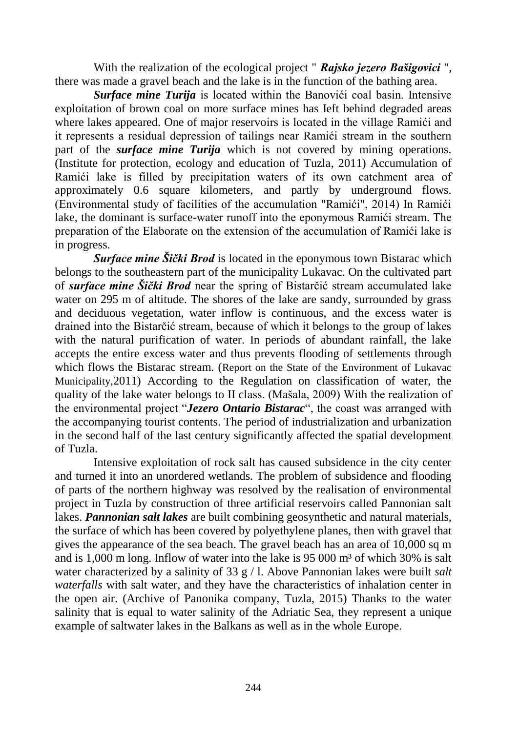With the realization of the ecological project " *Rajsko jezero Bašigovici* ", there was made a gravel beach and the lake is in the function of the bathing area.

*Surface mine Turija* is located within the Banovići coal basin. Intensive exploitation of brown coal on more surface mines has Ieft behind degraded areas where lakes appeared. One of major reservoirs is located in the village Ramići and it represents a residual depression of tailings near Ramići stream in the southern part of the *surface mine Turija* which is not covered by mining operations. (Institute for protection, ecology and education of Tuzla, 2011) Accumulation of Ramići lake is filled by precipitation waters of its own catchment area of approximately 0.6 square kilometers, and partly by underground flows. (Environmental study of facilities of the accumulation "Ramići", 2014) In Ramići lake, the dominant is surface-water runoff into the eponymous Ramići stream. The preparation of the Elaborate on the extension of the accumulation of Ramići lake is in progress.

*Surface mine Šički Brod* is located in the eponymous town Bistarac which belongs to the southeastern part of the municipality Lukavac. On the cultivated part of *surface mine Šički Brod* near the spring of Bistarčić stream accumulated lake water on 295 m of altitude. The shores of the lake are sandy, surrounded by grass and deciduous vegetation, water inflow is continuous, and the excess water is drained into the Bistarčić stream, because of which it belongs to the group of lakes with the natural purification of water. In periods of abundant rainfall, the lake accepts the entire excess water and thus prevents flooding of settlements through which flows the Bistarac stream. (Report on the State of the Environment of Lukavac Municipality,2011) According to the Regulation on classification of water, the quality of the lake water belongs to II class. (Mašala, 2009) With the realization of the environmental project "*Jezero Ontario Bistarac*", the coast was arranged with the accompanying tourist contents. The period of industrialization and urbanization in the second half of the last century significantly affected the spatial development of Tuzla.

Intensive exploitation of rock salt has caused subsidence in the city center and turned it into an unordered wetlands. The problem of subsidence and flooding of parts of the northern highway was resolved by the realisation of environmental project in Tuzla by construction of three artificial reservoirs called Pannonian salt lakes. *Pannonian salt lakes* are built combining geosynthetic and natural materials, the surface of which has been covered by polyethylene planes, then with gravel that gives the appearance of the sea beach. The gravel beach has an area of 10,000 sq m and is  $1,000$  m long. Inflow of water into the lake is 95 000 m<sup>3</sup> of which 30% is salt water characterized by a salinity of 33 g / l. Above Pannonian lakes were built *salt waterfalls* with salt water, and they have the characteristics of inhalation center in the open air. (Archive of Panonika company, Tuzla, 2015) Thanks to the water salinity that is equal to water salinity of the Adriatic Sea, they represent a unique example of saltwater lakes in the Balkans as well as in the whole Europe.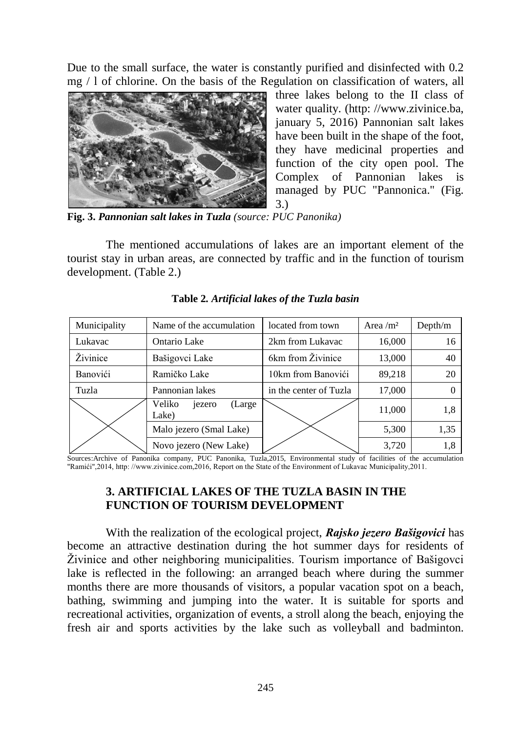Due to the small surface, the water is constantly purified and disinfected with 0.2 mg / l of chlorine. On the basis of the Regulation on classification of waters, all



three lakes belong to the II class of water quality. (http: //www.zivinice.ba, january 5, 2016) Pannonian salt lakes have been built in the shape of the foot, they have medicinal properties and function of the city open pool. The Complex of Pannonian lakes is managed by PUC "Pannonica." (Fig. 3.)

**Fig. 3.** *Pannonian salt lakes in Tuzla (source: PUC Panonika)*

The mentioned accumulations of lakes are an important element of the tourist stay in urban areas, are connected by traffic and in the function of tourism development. (Table 2.)

| Municipality | Name of the accumulation             | located from town      | Area $\rm /m^2$ | Depth/m |
|--------------|--------------------------------------|------------------------|-----------------|---------|
| Lukavac      | Ontario Lake                         | 2km from Lukavac       | 16,000          | 16      |
| Živinice     | Bašigovci Lake                       | 6km from Živinice      | 13,000          | 40      |
| Banovići     | Ramičko Lake                         | 10km from Banovići     | 89,218          | 20      |
| Tuzla        | Pannonian lakes                      | in the center of Tuzla | 17,000          |         |
|              | Veliko<br>(Large)<br>jezero<br>Lake) |                        | 11,000          | 1,8     |
|              | Malo jezero (Smal Lake)              |                        | 5,300           | 1,35    |
|              | Novo jezero (New Lake)               |                        | 3,720           | 1.8     |

### **Table 2***. Artificial lakes of the Tuzla basin*

Sources:Archive of Panonika company, PUC Panonika, Tuzla,2015, Environmental study of facilities of the accumulation "Ramići",2014, http: //www.zivinice.com,2016, Report on the State of the Environment of Lukavac Municipality,2011.

# **3. ARTIFICIAL LAKES OF THE TUZLA BASIN IN THE FUNCTION OF TOURISM DEVELOPMENT**

With the realization of the ecological project, *Rajsko jezero Bašigovici* has become an attractive destination during the hot summer days for residents of Ţivinice and other neighboring municipalities. Tourism importance of Bašigovci lake is reflected in the following: an arranged beach where during the summer months there are more thousands of visitors, a popular vacation spot on a beach, bathing, swimming and jumping into the water. It is suitable for sports and recreational activities, organization of events, a stroll along the beach, enjoying the fresh air and sports activities by the lake such as volleyball and badminton.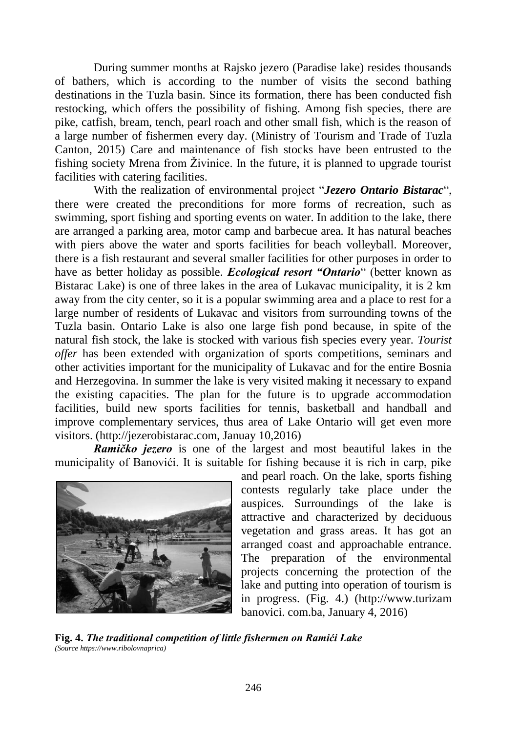During summer months at Rajsko jezero (Paradise lake) resides thousands of bathers, which is according to the number of visits the second bathing destinations in the Tuzla basin. Since its formation, there has been conducted fish restocking, which offers the possibility of fishing. Among fish species, there are pike, catfish, bream, tench, pearl roach and other small fish, which is the reason of a large number of fishermen every day. (Ministry of Tourism and Trade of Tuzla Canton, 2015) Care and maintenance of fish stocks have been entrusted to the fishing society Mrena from Živinice. In the future, it is planned to upgrade tourist facilities with catering facilities.

With the realization of environmental project "*Jezero Ontario Bistarac*", there were created the preconditions for more forms of recreation, such as swimming, sport fishing and sporting events on water. In addition to the lake, there are arranged a parking area, motor camp and barbecue area. It has natural beaches with piers above the water and sports facilities for beach volleyball. Moreover, there is a fish restaurant and several smaller facilities for other purposes in order to have as better holiday as possible. *Ecological resort "Ontario*" (better known as Bistarac Lake) is one of three lakes in the area of Lukavac municipality, it is 2 km away from the city center, so it is a popular swimming area and a place to rest for a large number of residents of Lukavac and visitors from surrounding towns of the Tuzla basin. Ontario Lake is also one large fish pond because, in spite of the natural fish stock, the lake is stocked with various fish species every year. *Tourist offer* has been extended with organization of sports competitions, seminars and other activities important for the municipality of Lukavac and for the entire Bosnia and Herzegovina. In summer the lake is very visited making it necessary to expand the existing capacities. The plan for the future is to upgrade accommodation facilities, build new sports facilities for tennis, basketball and handball and improve complementary services, thus area of Lake Ontario will get even more visitors. (http://jezerobistarac.com, Januay 10,2016)

*Ramičko jezero* is one of the largest and most beautiful lakes in the municipality of Banovići. It is suitable for fishing because it is rich in carp, pike



and pearl roach. On the lake, sports fishing contests regularly take place under the auspices. Surroundings of the lake is attractive and characterized by deciduous vegetation and grass areas. It has got an arranged coast and approachable entrance. The preparation of the environmental projects concerning the protection of the lake and putting into operation of tourism is in progress. (Fig. 4.) (http://www.turizam banovici. com.ba, January 4, 2016)

**Fig. 4.** *The traditional competition of little fishermen on Ramići Lake (Source https://www.ribolovnaprica)*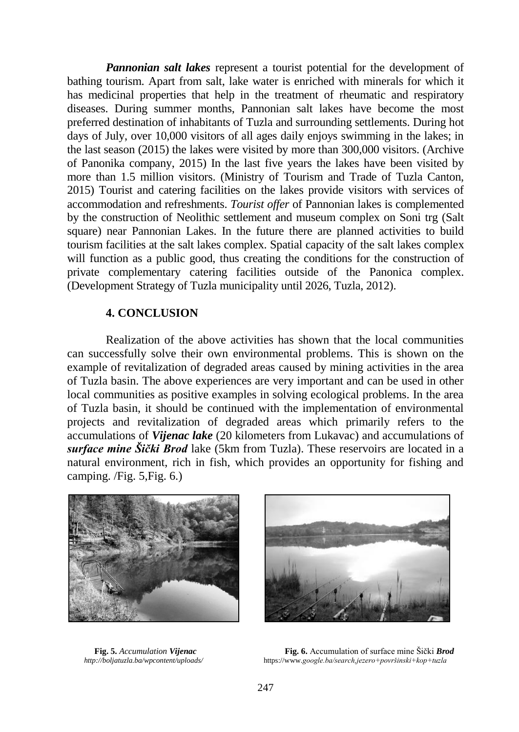*Pannonian salt lakes* represent a tourist potential for the development of bathing tourism. Apart from salt, lake water is enriched with minerals for which it has medicinal properties that help in the treatment of rheumatic and respiratory diseases. During summer months, Pannonian salt lakes have become the most preferred destination of inhabitants of Tuzla and surrounding settlements. During hot days of July, over 10,000 visitors of all ages daily enjoys swimming in the lakes; in the last season (2015) the lakes were visited by more than 300,000 visitors. (Archive of Panonika company, 2015) In the last five years the lakes have been visited by more than 1.5 million visitors. (Ministry of Tourism and Trade of Tuzla Canton, 2015) Tourist and catering facilities on the lakes provide visitors with services of accommodation and refreshments. *Tourist offer* of Pannonian lakes is complemented by the construction of Neolithic settlement and museum complex on Soni trg (Salt square) near Pannonian Lakes. In the future there are planned activities to build tourism facilities at the salt lakes complex. Spatial capacity of the salt lakes complex will function as a public good, thus creating the conditions for the construction of private complementary catering facilities outside of the Panonica complex. (Development Strategy of Tuzla municipality until 2026, Tuzla, 2012).

#### **4. CONCLUSION**

Realization of the above activities has shown that the local communities can successfully solve their own environmental problems. This is shown on the example of revitalization of degraded areas caused by mining activities in the area of Tuzla basin. The above experiences are very important and can be used in other local communities as positive examples in solving ecological problems. In the area of Tuzla basin, it should be continued with the implementation of environmental projects and revitalization of degraded areas which primarily refers to the accumulations of *Vijenac lake* (20 kilometers from Lukavac) and accumulations of *surface mine Šički Brod* lake (5km from Tuzla). These reservoirs are located in a natural environment, rich in fish, which provides an opportunity for fishing and camping. /Fig. 5,Fig. 6.)





**Fig. 5.** *Accumulation Vijenac* **Fig. 6.** Accumulation of surface mine Šički *Brod http://boljatuzla.ba/wpcontent/uploads/* https://www.google.ba/search.jezero+površinski+kop+tuzla *<http://boljatuzla.ba/wpcontent/uploads/>*https://www.*google.ba/search,jezero+površinski+kop+tuzla*